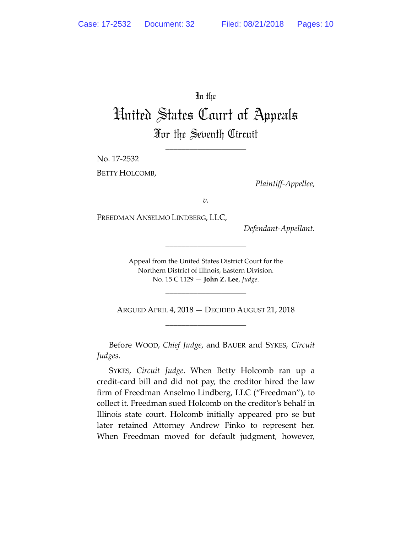In the

## United States Court of Appeals For the Seventh Circuit

\_\_\_\_\_\_\_\_\_\_\_\_\_\_\_\_\_\_\_\_

No. 17-2532

BETTY HOLCOMB,

*Plaintiff-Appellee*,

*v.*

FREEDMAN ANSELMO LINDBERG, LLC,

*Defendant-Appellant*.

Appeal from the United States District Court for the Northern District of Illinois, Eastern Division. No. 15 C 1129 — **John Z. Lee**, *Judge*.

\_\_\_\_\_\_\_\_\_\_\_\_\_\_\_\_\_\_\_\_

\_\_\_\_\_\_\_\_\_\_\_\_\_\_\_\_\_\_\_\_

ARGUED APRIL 4, 2018 — DECIDED AUGUST 21, 2018 \_\_\_\_\_\_\_\_\_\_\_\_\_\_\_\_\_\_\_\_

Before WOOD, *Chief Judge*, and BAUER and SYKES, *Circuit Judges*.

SYKES, *Circuit Judge*. When Betty Holcomb ran up a credit-card bill and did not pay, the creditor hired the law firm of Freedman Anselmo Lindberg, LLC ("Freedman"), to collect it. Freedman sued Holcomb on the creditor's behalf in Illinois state court. Holcomb initially appeared pro se but later retained Attorney Andrew Finko to represent her. When Freedman moved for default judgment, however,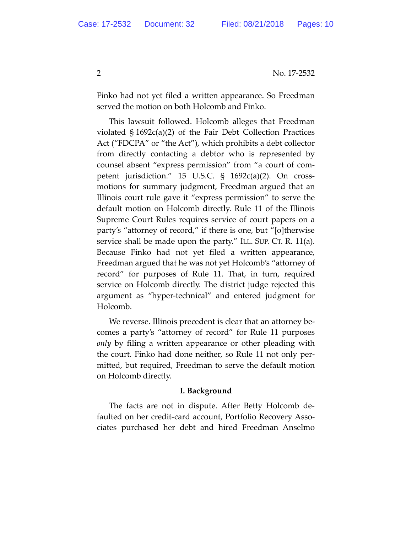Finko had not yet filed a written appearance. So Freedman served the motion on both Holcomb and Finko.

This lawsuit followed. Holcomb alleges that Freedman violated § 1692c(a)(2) of the Fair Debt Collection Practices Act ("FDCPA" or "the Act"), which prohibits a debt collector from directly contacting a debtor who is represented by counsel absent "express permission" from "a court of competent jurisdiction." 15 U.S.C. § 1692c(a)(2). On crossmotions for summary judgment, Freedman argued that an Illinois court rule gave it "express permission" to serve the default motion on Holcomb directly. Rule 11 of the Illinois Supreme Court Rules requires service of court papers on a party's "attorney of record," if there is one, but "[o]therwise service shall be made upon the party." ILL. SUP. CT. R. 11(a). Because Finko had not yet filed a written appearance, Freedman argued that he was not yet Holcomb's "attorney of record" for purposes of Rule 11. That, in turn, required service on Holcomb directly. The district judge rejected this argument as "hyper-technical" and entered judgment for Holcomb.

We reverse. Illinois precedent is clear that an attorney becomes a party's "attorney of record" for Rule 11 purposes *only* by filing a written appearance or other pleading with the court. Finko had done neither, so Rule 11 not only permitted, but required, Freedman to serve the default motion on Holcomb directly.

## **I. Background**

The facts are not in dispute. After Betty Holcomb defaulted on her credit-card account, Portfolio Recovery Associates purchased her debt and hired Freedman Anselmo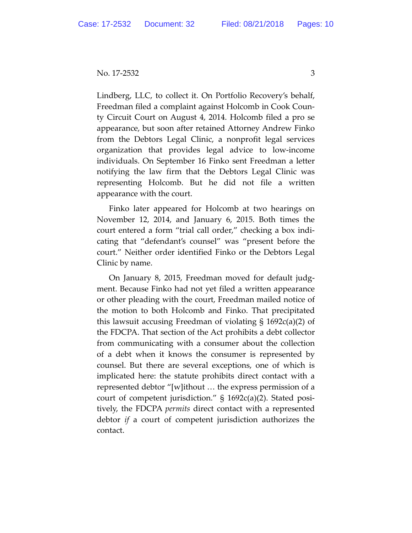No. 17-2532 3

Lindberg, LLC, to collect it. On Portfolio Recovery's behalf, Freedman filed a complaint against Holcomb in Cook County Circuit Court on August 4, 2014. Holcomb filed a pro se appearance, but soon after retained Attorney Andrew Finko from the Debtors Legal Clinic, a nonprofit legal services organization that provides legal advice to low-income individuals. On September 16 Finko sent Freedman a letter notifying the law firm that the Debtors Legal Clinic was representing Holcomb. But he did not file a written appearance with the court.

Finko later appeared for Holcomb at two hearings on November 12, 2014, and January 6, 2015. Both times the court entered a form "trial call order," checking a box indicating that "defendant's counsel" was "present before the court." Neither order identified Finko or the Debtors Legal Clinic by name.

On January 8, 2015, Freedman moved for default judgment. Because Finko had not yet filed a written appearance or other pleading with the court, Freedman mailed notice of the motion to both Holcomb and Finko. That precipitated this lawsuit accusing Freedman of violating § 1692c(a)(2) of the FDCPA. That section of the Act prohibits a debt collector from communicating with a consumer about the collection of a debt when it knows the consumer is represented by counsel. But there are several exceptions, one of which is implicated here: the statute prohibits direct contact with a represented debtor "[w]ithout … the express permission of a court of competent jurisdiction." § 1692c(a)(2). Stated positively, the FDCPA *permits* direct contact with a represented debtor *if* a court of competent jurisdiction authorizes the contact.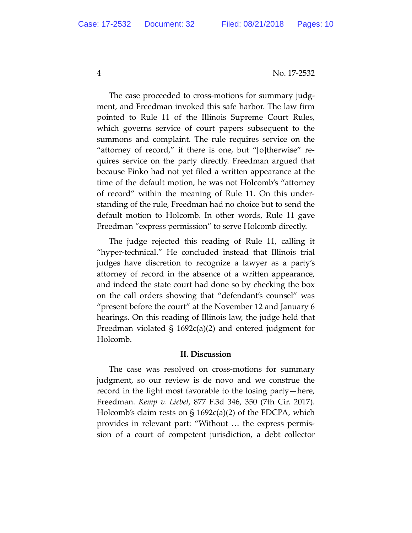The case proceeded to cross-motions for summary judgment, and Freedman invoked this safe harbor. The law firm pointed to Rule 11 of the Illinois Supreme Court Rules, which governs service of court papers subsequent to the summons and complaint. The rule requires service on the "attorney of record," if there is one, but "[o]therwise" requires service on the party directly. Freedman argued that because Finko had not yet filed a written appearance at the time of the default motion, he was not Holcomb's "attorney of record" within the meaning of Rule 11. On this understanding of the rule, Freedman had no choice but to send the default motion to Holcomb. In other words, Rule 11 gave Freedman "express permission" to serve Holcomb directly.

The judge rejected this reading of Rule 11, calling it "hyper-technical." He concluded instead that Illinois trial judges have discretion to recognize a lawyer as a party's attorney of record in the absence of a written appearance, and indeed the state court had done so by checking the box on the call orders showing that "defendant's counsel" was "present before the court" at the November 12 and January 6 hearings. On this reading of Illinois law, the judge held that Freedman violated § 1692c(a)(2) and entered judgment for Holcomb.

## **II. Discussion**

The case was resolved on cross-motions for summary judgment, so our review is de novo and we construe the record in the light most favorable to the losing party—here, Freedman. *Kemp v. Liebel*, 877 F.3d 346, 350 (7th Cir. 2017). Holcomb's claim rests on § 1692c(a)(2) of the FDCPA, which provides in relevant part: "Without … the express permission of a court of competent jurisdiction, a debt collector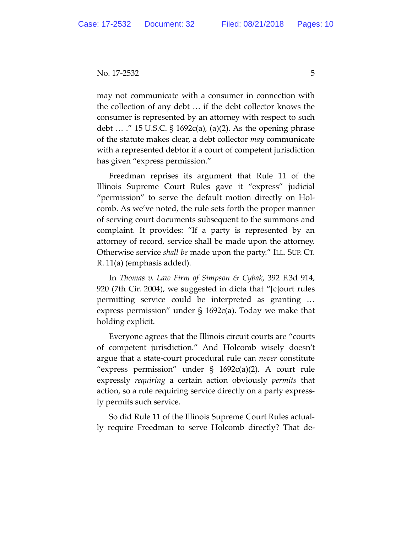may not communicate with a consumer in connection with the collection of any debt … if the debt collector knows the consumer is represented by an attorney with respect to such debt … ." 15 U.S.C. § 1692c(a), (a)(2). As the opening phrase of the statute makes clear, a debt collector *may* communicate with a represented debtor if a court of competent jurisdiction has given "express permission."

Freedman reprises its argument that Rule 11 of the Illinois Supreme Court Rules gave it "express" judicial "permission" to serve the default motion directly on Holcomb. As we've noted, the rule sets forth the proper manner of serving court documents subsequent to the summons and complaint. It provides: "If a party is represented by an attorney of record, service shall be made upon the attorney. Otherwise service *shall be* made upon the party." ILL. SUP. CT. R. 11(a) (emphasis added).

In *Thomas v. Law Firm of Simpson & Cybak*, 392 F.3d 914, 920 (7th Cir. 2004), we suggested in dicta that "[c]ourt rules permitting service could be interpreted as granting … express permission" under § 1692c(a). Today we make that holding explicit.

Everyone agrees that the Illinois circuit courts are "courts of competent jurisdiction." And Holcomb wisely doesn't argue that a state-court procedural rule can *never* constitute "express permission" under § 1692c(a)(2). A court rule expressly *requiring* a certain action obviously *permits* that action, so a rule requiring service directly on a party expressly permits such service.

So did Rule 11 of the Illinois Supreme Court Rules actually require Freedman to serve Holcomb directly? That de-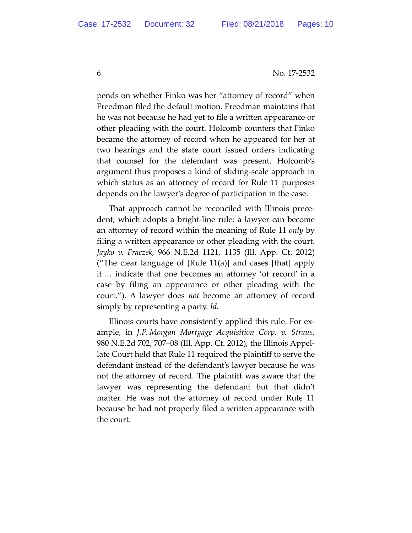pends on whether Finko was her "attorney of record" when Freedman filed the default motion. Freedman maintains that he was not because he had yet to file a written appearance or other pleading with the court. Holcomb counters that Finko became the attorney of record when he appeared for her at two hearings and the state court issued orders indicating that counsel for the defendant was present. Holcomb's argument thus proposes a kind of sliding-scale approach in which status as an attorney of record for Rule 11 purposes depends on the lawyer's degree of participation in the case.

That approach cannot be reconciled with Illinois precedent, which adopts a bright-line rule: a lawyer can become an attorney of record within the meaning of Rule 11 *only* by filing a written appearance or other pleading with the court. *Jayko v. Fraczek*, 966 N.E.2d 1121, 1135 (Ill. App. Ct. 2012) ("The clear language of [Rule 11(a)] and cases [that] apply it … indicate that one becomes an attorney 'of record' in a case by filing an appearance or other pleading with the court."). A lawyer does *not* become an attorney of record simply by representing a party. *Id.*

Illinois courts have consistently applied this rule. For example, in *J.P. Morgan Mortgage Acquisition Corp. v. Straus*, 980 N.E.2d 702, 707–08 (Ill. App. Ct. 2012), the Illinois Appellate Court held that Rule 11 required the plaintiff to serve the defendant instead of the defendant's lawyer because he was not the attorney of record. The plaintiff was aware that the lawyer was representing the defendant but that didn't matter. He was not the attorney of record under Rule 11 because he had not properly filed a written appearance with the court.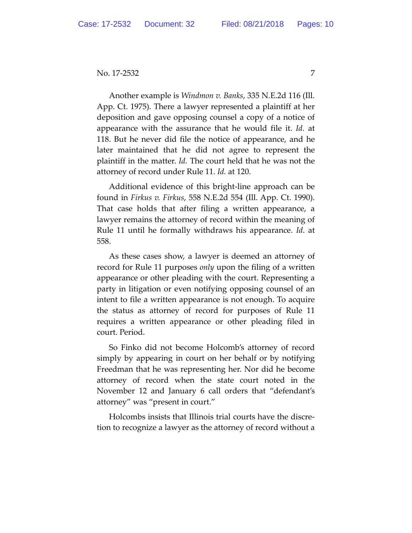No. 17-2532 7

Another example is *Windmon v. Banks*, 335 N.E.2d 116 (Ill. App. Ct. 1975). There a lawyer represented a plaintiff at her deposition and gave opposing counsel a copy of a notice of appearance with the assurance that he would file it. *Id.* at 118. But he never did file the notice of appearance, and he later maintained that he did not agree to represent the plaintiff in the matter. *Id.* The court held that he was not the attorney of record under Rule 11. *Id.* at 120.

Additional evidence of this bright-line approach can be found in *Firkus v. Firkus*, 558 N.E.2d 554 (Ill. App. Ct. 1990). That case holds that after filing a written appearance, a lawyer remains the attorney of record within the meaning of Rule 11 until he formally withdraws his appearance. *Id*. at 558.

As these cases show, a lawyer is deemed an attorney of record for Rule 11 purposes *only* upon the filing of a written appearance or other pleading with the court. Representing a party in litigation or even notifying opposing counsel of an intent to file a written appearance is not enough. To acquire the status as attorney of record for purposes of Rule 11 requires a written appearance or other pleading filed in court. Period.

So Finko did not become Holcomb's attorney of record simply by appearing in court on her behalf or by notifying Freedman that he was representing her. Nor did he become attorney of record when the state court noted in the November 12 and January 6 call orders that "defendant's attorney" was "present in court."

Holcombs insists that Illinois trial courts have the discretion to recognize a lawyer as the attorney of record without a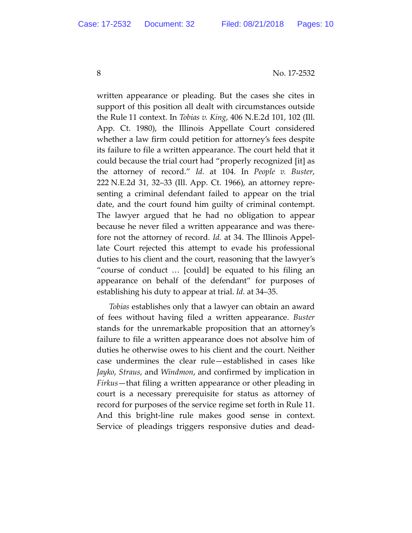written appearance or pleading. But the cases she cites in support of this position all dealt with circumstances outside the Rule 11 context. In *Tobias v. King*, 406 N.E.2d 101, 102 (Ill. App. Ct. 1980), the Illinois Appellate Court considered whether a law firm could petition for attorney's fees despite its failure to file a written appearance. The court held that it could because the trial court had "properly recognized [it] as the attorney of record." *Id.* at 104. In *People v. Buster*, 222 N.E.2d 31, 32–33 (Ill. App. Ct. 1966), an attorney representing a criminal defendant failed to appear on the trial date, and the court found him guilty of criminal contempt. The lawyer argued that he had no obligation to appear because he never filed a written appearance and was therefore not the attorney of record. *Id.* at 34. The Illinois Appellate Court rejected this attempt to evade his professional duties to his client and the court, reasoning that the lawyer's "course of conduct … [could] be equated to his filing an appearance on behalf of the defendant" for purposes of establishing his duty to appear at trial. *Id.* at 34–35.

*Tobias* establishes only that a lawyer can obtain an award of fees without having filed a written appearance. *Buster* stands for the unremarkable proposition that an attorney's failure to file a written appearance does not absolve him of duties he otherwise owes to his client and the court. Neither case undermines the clear rule—established in cases like *Jayko*, *Straus*, and *Windmon*, and confirmed by implication in *Firkus*—that filing a written appearance or other pleading in court is a necessary prerequisite for status as attorney of record for purposes of the service regime set forth in Rule 11. And this bright-line rule makes good sense in context. Service of pleadings triggers responsive duties and dead-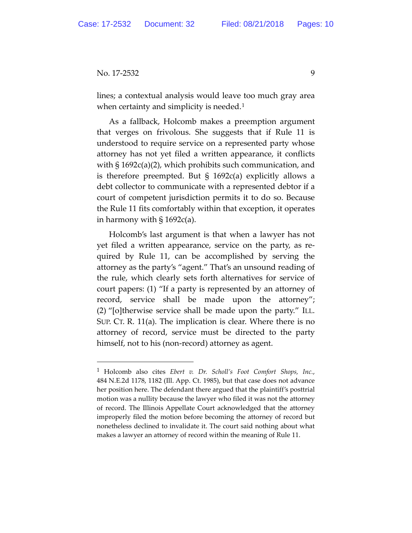No. 17-2532 9

lines; a contextual analysis would leave too much gray area when certainty and simplicity is needed.<sup>[1](#page-8-0)</sup>

As a fallback, Holcomb makes a preemption argument that verges on frivolous. She suggests that if Rule 11 is understood to require service on a represented party whose attorney has not yet filed a written appearance, it conflicts with § 1692c(a)(2), which prohibits such communication, and is therefore preempted. But § 1692c(a) explicitly allows a debt collector to communicate with a represented debtor if a court of competent jurisdiction permits it to do so. Because the Rule 11 fits comfortably within that exception, it operates in harmony with  $\S 1692c(a)$ .

Holcomb's last argument is that when a lawyer has not yet filed a written appearance, service on the party, as required by Rule 11, can be accomplished by serving the attorney as the party's "agent." That's an unsound reading of the rule, which clearly sets forth alternatives for service of court papers: (1) "If a party is represented by an attorney of record, service shall be made upon the attorney"; (2) "[o]therwise service shall be made upon the party." ILL. SUP. CT. R. 11(a). The implication is clear. Where there is no attorney of record, service must be directed to the party himself, not to his (non-record) attorney as agent.

<span id="page-8-0"></span> <sup>1</sup> Holcomb also cites *Ebert v. Dr. Scholl's Foot Comfort Shops, Inc.*, 484 N.E.2d 1178, 1182 (Ill. App. Ct. 1985), but that case does not advance her position here. The defendant there argued that the plaintiff's posttrial motion was a nullity because the lawyer who filed it was not the attorney of record. The Illinois Appellate Court acknowledged that the attorney improperly filed the motion before becoming the attorney of record but nonetheless declined to invalidate it. The court said nothing about what makes a lawyer an attorney of record within the meaning of Rule 11.